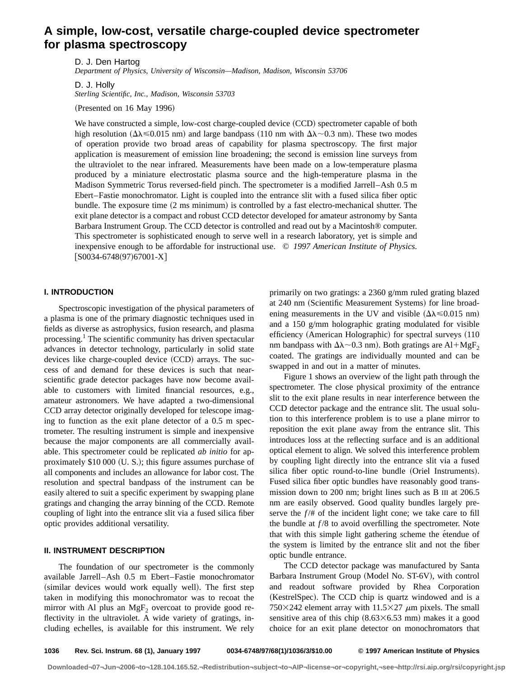# **A simple, low-cost, versatile charge-coupled device spectrometer for plasma spectroscopy**

D. J. Den Hartog *Department of Physics, University of Wisconsin—Madison, Madison, Wisconsin 53706*

D. J. Holly *Sterling Scientific, Inc., Madison, Wisconsin 53703*

 $(Presented on 16 May 1996)$ 

We have constructed a simple, low-cost charge-coupled device (CCD) spectrometer capable of both high resolution ( $\Delta\lambda \le 0.015$  nm) and large bandpass (110 nm with  $\Delta\lambda \sim 0.3$  nm). These two modes of operation provide two broad areas of capability for plasma spectroscopy. The first major application is measurement of emission line broadening; the second is emission line surveys from the ultraviolet to the near infrared. Measurements have been made on a low-temperature plasma produced by a miniature electrostatic plasma source and the high-temperature plasma in the Madison Symmetric Torus reversed-field pinch. The spectrometer is a modified Jarrell–Ash 0.5 m Ebert–Fastie monochromator. Light is coupled into the entrance slit with a fused silica fiber optic bundle. The exposure time  $(2 \text{ ms minimum})$  is controlled by a fast electro-mechanical shutter. The exit plane detector is a compact and robust CCD detector developed for amateur astronomy by Santa Barbara Instrument Group. The CCD detector is controlled and read out by a Macintosh® computer. This spectrometer is sophisticated enough to serve well in a research laboratory, yet is simple and inexpensive enough to be affordable for instructional use. © *1997 American Institute of Physics.*  $[SO034-6748(97)67001-X]$ 

## **I. INTRODUCTION**

Spectroscopic investigation of the physical parameters of a plasma is one of the primary diagnostic techniques used in fields as diverse as astrophysics, fusion research, and plasma processing.<sup>1</sup> The scientific community has driven spectacular advances in detector technology, particularly in solid state devices like charge-coupled device  $(CCD)$  arrays. The success of and demand for these devices is such that nearscientific grade detector packages have now become available to customers with limited financial resources, e.g., amateur astronomers. We have adapted a two-dimensional CCD array detector originally developed for telescope imaging to function as the exit plane detector of a 0.5 m spectrometer. The resulting instrument is simple and inexpensive because the major components are all commercially available. This spectrometer could be replicated *ab initio* for approximately  $$10,000$  (U. S.); this figure assumes purchase of all components and includes an allowance for labor cost. The resolution and spectral bandpass of the instrument can be easily altered to suit a specific experiment by swapping plane gratings and changing the array binning of the CCD. Remote coupling of light into the entrance slit via a fused silica fiber optic provides additional versatility.

## **II. INSTRUMENT DESCRIPTION**

The foundation of our spectrometer is the commonly available Jarrell–Ash 0.5 m Ebert–Fastie monochromator (similar devices would work equally well). The first step taken in modifying this monochromator was to recoat the mirror with Al plus an  $MgF_2$  overcoat to provide good reflectivity in the ultraviolet. A wide variety of gratings, including echelles, is available for this instrument. We rely primarily on two gratings: a 2360 g/mm ruled grating blazed at 240 nm (Scientific Measurement Systems) for line broadening measurements in the UV and visible  $(\Delta \lambda \le 0.015 \text{ nm})$ and a 150 g/mm holographic grating modulated for visible efficiency (American Holographic) for spectral surveys (110 nm bandpass with  $\Delta\lambda \sim 0.3$  nm). Both gratings are Al+MgF<sub>2</sub> coated. The gratings are individually mounted and can be swapped in and out in a matter of minutes.

Figure 1 shows an overview of the light path through the spectrometer. The close physical proximity of the entrance slit to the exit plane results in near interference between the CCD detector package and the entrance slit. The usual solution to this interference problem is to use a plane mirror to reposition the exit plane away from the entrance slit. This introduces loss at the reflecting surface and is an additional optical element to align. We solved this interference problem by coupling light directly into the entrance slit via a fused silica fiber optic round-to-line bundle (Oriel Instruments). Fused silica fiber optic bundles have reasonably good transmission down to 200 nm; bright lines such as B III at 206.5 nm are easily observed. Good quality bundles largely preserve the  $f/\#$  of the incident light cone; we take care to fill the bundle at  $f/8$  to avoid overfilling the spectrometer. Note that with this simple light gathering scheme the étendue of the system is limited by the entrance slit and not the fiber optic bundle entrance.

The CCD detector package was manufactured by Santa Barbara Instrument Group (Model No. ST-6V), with control and readout software provided by Rhea Corporation (KestrelSpec). The CCD chip is quartz windowed and is a 750 $\times$ 242 element array with 11.5 $\times$ 27  $\mu$ m pixels. The small sensitive area of this chip  $(8.63\times6.53 \text{ mm})$  makes it a good choice for an exit plane detector on monochromators that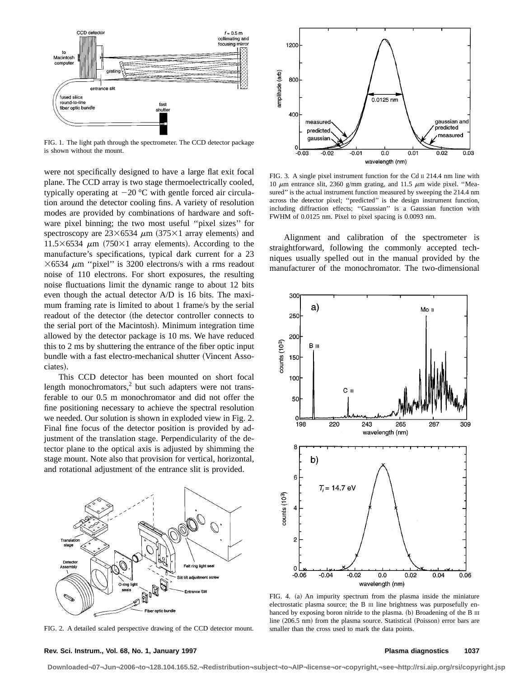

FIG. 1. The light path through the spectrometer. The CCD detector package is shown without the mount.

were not specifically designed to have a large flat exit focal plane. The CCD array is two stage thermoelectrically cooled, typically operating at  $-20$  °C with gentle forced air circulation around the detector cooling fins. A variety of resolution modes are provided by combinations of hardware and software pixel binning; the two most useful ''pixel sizes'' for spectroscopy are  $23\times 6534 \mu m$  (375×1 array elements) and 11.5 $\times$ 6534  $\mu$ m (750 $\times$ 1 array elements). According to the manufacture's specifications, typical dark current for a 23  $\times$ 6534  $\mu$ m "pixel" is 3200 electrons/s with a rms readout noise of 110 electrons. For short exposures, the resulting noise fluctuations limit the dynamic range to about 12 bits even though the actual detector A/D is 16 bits. The maximum framing rate is limited to about 1 frame/s by the serial readout of the detector (the detector controller connects to the serial port of the Macintosh). Minimum integration time allowed by the detector package is 10 ms. We have reduced this to 2 ms by shuttering the entrance of the fiber optic input bundle with a fast electro-mechanical shutter (Vincent Associates).

This CCD detector has been mounted on short focal length monochromators, $^{2}$  but such adapters were not transferable to our 0.5 m monochromator and did not offer the fine positioning necessary to achieve the spectral resolution we needed. Our solution is shown in exploded view in Fig. 2. Final fine focus of the detector position is provided by adjustment of the translation stage. Perpendicularity of the detector plane to the optical axis is adjusted by shimming the stage mount. Note also that provision for vertical, horizontal, and rotational adjustment of the entrance slit is provided.



FIG. 2. A detailed scaled perspective drawing of the CCD detector mount.



FIG. 3. A single pixel instrument function for the Cd II 214.4 nm line with 10  $\mu$ m entrance slit, 2360 g/mm grating, and 11.5  $\mu$ m wide pixel. "Measured" is the actual instrument function measured by sweeping the 214.4 nm across the detector pixel; ''predicted'' is the design instrument function, including diffraction effects; ''Gaussian'' is a Gaussian function with FWHM of 0.0125 nm. Pixel to pixel spacing is 0.0093 nm.

Alignment and calibration of the spectrometer is straightforward, following the commonly accepted techniques usually spelled out in the manual provided by the manufacturer of the monochromator. The two-dimensional



FIG. 4. (a) An impurity spectrum from the plasma inside the miniature electrostatic plasma source; the B III line brightness was purposefully enhanced by exposing boron nitride to the plasma. (b) Broadening of the B III line  $(206.5 \text{ nm})$  from the plasma source. Statistical (Poisson) error bars are smaller than the cross used to mark the data points.

#### **Rev. Sci. Instrum., Vol. 68, No. 1, January 1997 Plasma diagnostics 1037**

**Downloaded¬07¬Jun¬2006¬to¬128.104.165.52.¬Redistribution¬subject¬to¬AIP¬license¬or¬copyright,¬see¬http://rsi.aip.org/rsi/copyright.jsp**